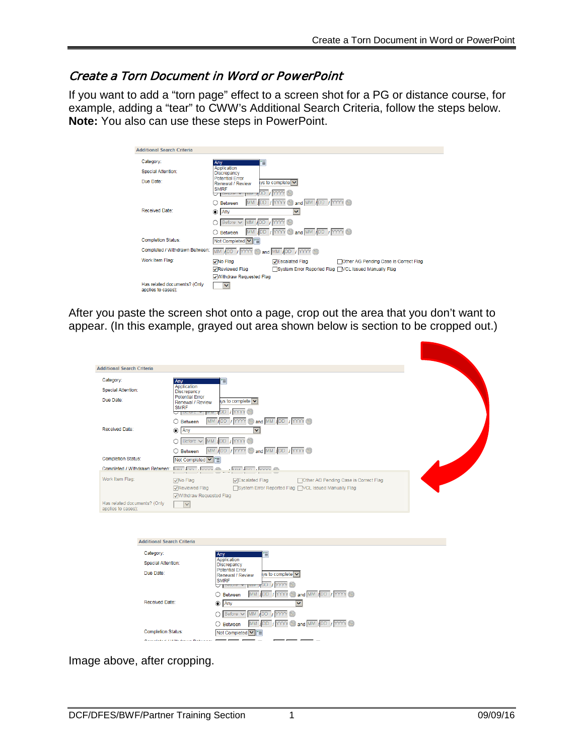## Create a Torn Document in Word or PowerPoint

If you want to add a "torn page" effect to a screen shot for a PG or distance course, for example, adding a "tear" to CWW's Additional Search Criteria, follow the steps below. **Note:** You also can use these steps in PowerPoint.

|                                                                       | <b>Additional Search Criteria</b>                  |                                                                                          |                                                           |                                       |
|-----------------------------------------------------------------------|----------------------------------------------------|------------------------------------------------------------------------------------------|-----------------------------------------------------------|---------------------------------------|
|                                                                       | Category:                                          | Anv                                                                                      | 冒                                                         |                                       |
|                                                                       | Special Attention:                                 | Application<br>Discrepancy                                                               |                                                           |                                       |
|                                                                       | Due Date:                                          | <b>Potential Frror</b><br>Renewal / Review<br><b>SMRF</b><br>O Toeloie<br><b>TIVITYI</b> | $\mathsf{v}\mathsf{s}$ to complete $\mathsf{v}\mathsf{s}$ |                                       |
|                                                                       |                                                    | <b>MM</b><br>Between                                                                     | <b>B</b> and MM / DD / YYYY<br><b>JDD</b> IMYYY           |                                       |
|                                                                       | Received Date:                                     | $\odot$ Any                                                                              | v                                                         |                                       |
|                                                                       |                                                    | Before V<br><b>MM</b><br><b>ADD</b>                                                      |                                                           |                                       |
|                                                                       |                                                    | Retween                                                                                  | MM / DD / YYYY @ and MM / DD / YYYY                       |                                       |
|                                                                       | <b>Completion Status:</b>                          | Not Completed V   T                                                                      |                                                           |                                       |
| Completed / Withdrawn Between:<br>MM /DD / YYYY @ and MM /DD / YYYY @ |                                                    |                                                                                          |                                                           |                                       |
|                                                                       | Work Item Flag:                                    | <b>V</b> No Flag                                                                         | <b>VEscalated Flag</b>                                    | Other AG Pending Case is Correct Flag |
|                                                                       |                                                    | √Reviewed Flag                                                                           | System Error Reported Flag MCL Issued Manually Flag       |                                       |
|                                                                       |                                                    | √Withdraw Requested Flag                                                                 |                                                           |                                       |
|                                                                       | Has related documents? (Only<br>applies to cases): | $\checkmark$                                                                             |                                                           |                                       |

After you paste the screen shot onto a page, crop out the area that you don't want to appear. (In this example, grayed out area shown below is section to be cropped out.)

| <b>Additional Search Criteria</b>                                     |                                                                                                                                                                                                             |
|-----------------------------------------------------------------------|-------------------------------------------------------------------------------------------------------------------------------------------------------------------------------------------------------------|
| Category:<br><b>Special Attention:</b><br>Due Date:                   | 目<br>Any<br>Application<br>Discrepancy<br><b>Potential Error</b><br>iys to complete $\triangleright$<br>Renewal / Review<br><b>SMRF</b><br>DD / YYYY<br>A Pelois A<br>MM / DD / YYYY @ and MM / DD / YYYY @ |
| <b>Received Date:</b>                                                 | $\bigcirc$ Between<br>$\odot$ Any<br>$\checkmark$<br>O Before V MM /DD / YYYY<br>MM / DD / YYYY & and MM / DD / YYYY<br>$\bigcirc$ Between                                                                  |
| <b>Completion Status:</b>                                             | Not Completed V E                                                                                                                                                                                           |
| Completed / Withdrawn Between:                                        | $\overline{M}$ $\overline{M}$ $\overline{M}$ $\overline{M}$ $\overline{M}$ $\overline{M}$ $\overline{M}$ $\overline{M}$ $\overline{M}$ $\overline{M}$ $\overline{M}$ $\overline{M}$                         |
| Work Item Flag:<br>Has related documents? (Only<br>applies to cases): | √Escalated Flag<br>□ Other AG Pending Case is Correct Flag<br>$\sqrt{}$ No Flag<br>□ System Error Reported Flag □ VCL Issued Manually Flag<br>Reviewed Flag<br>√Withdraw Requested Flag<br>$\vee$           |
| <b>Additional Search Criteria</b>                                     |                                                                                                                                                                                                             |
| Category:                                                             | 伺<br>Any                                                                                                                                                                                                    |
| <b>Special Attention:</b><br>Due Date:                                | Application<br>Discrepancy<br><b>Potential Error</b><br>$vs$ to complete $\overline{\smile}$<br>Renewal / Review<br><b>SMRF</b><br><b>NAME YOU A</b> YAYYY<br>$\bigcup$ Deignard $\bigwedge$                |
| Received Date:                                                        | MM (DD / YYYY @ and MM /DD / YYYY<br>$\bigcirc$ Between<br>$\odot$ Any<br>Ÿ<br>O Before V MM DD / YYYY                                                                                                      |
| <b>Completion Status:</b>                                             | MM / DD / YYYY @ and MM / DD / YYYY<br>$\bigcirc$ Between<br>Not Completed V<br>追                                                                                                                           |
|                                                                       | Constantinople of the State State and Charles and                                                                                                                                                           |

Image above, after cropping.